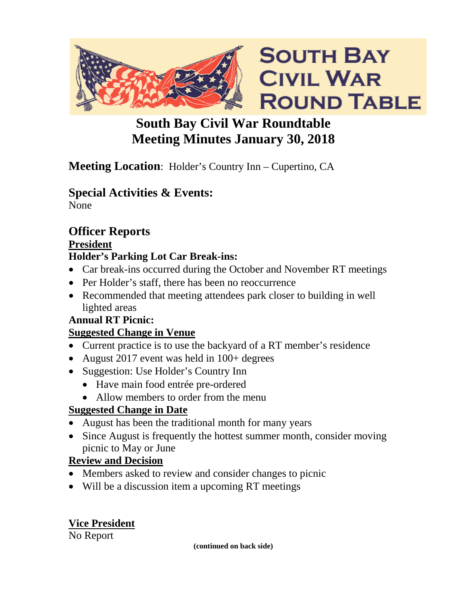

## **South Bay Civil War Roundtable Meeting Minutes January 30, 2018**

## **Meeting Location**: Holder's Country Inn – Cupertino, CA

## **Special Activities & Events:**

None

## **Officer Reports**

**President**

## **Holder's Parking Lot Car Break-ins:**

- Car break-ins occurred during the October and November RT meetings
- Per Holder's staff, there has been no reoccurrence
- Recommended that meeting attendees park closer to building in well lighted areas

## **Annual RT Picnic:**

## **Suggested Change in Venue**

- Current practice is to use the backyard of a RT member's residence
- August 2017 event was held in 100+ degrees
- Suggestion: Use Holder's Country Inn
	- Have main food entrée pre-ordered
	- Allow members to order from the menu

## **Suggested Change in Date**

- August has been the traditional month for many years
- Since August is frequently the hottest summer month, consider moving picnic to May or June

## **Review and Decision**

- Members asked to review and consider changes to picnic
- Will be a discussion item a upcoming RT meetings

## **Vice President**

No Report

**(continued on back side)**